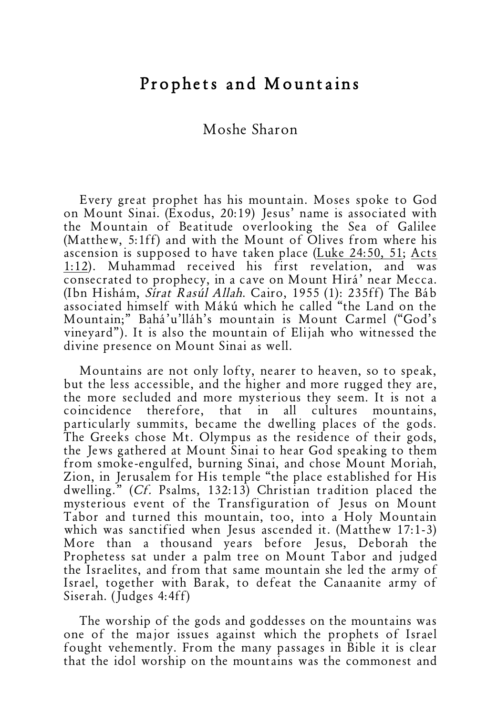## Prophets and Mountains

## Moshe Sharon

Every great prophet has his mountain. Moses spoke to God on Mount Sinai. (Exodus, 20:19) Jesus' name is associated with the Mountain of Beatitude overlooking the Sea of Galilee (Matthew, 5:1ff) and with the Mount of Olives from where his ascension is supposed to have taken place (Luke 24:50, 51; Acts 1:12). Muhammad received his first revelation, and was consecrated to prophecy, in a cave on Mount Hirá' near Mecca. (Ibn Hishám, Sírat Rasúl Allah. Cairo, 1955 (1): 235ff) The Báb associated himself with Mákú which he called "the Land on the Mountain;" Bahá'u'lláh's mountain is Mount Carmel ("God's vineyard"). It is also the mountain of Elijah who witnessed the divine presence on Mount Sinai as well.

Mountains are not only lofty, nearer to heaven, so to speak, but the less accessible, and the higher and more rugged they are, the more secluded and more mysterious they seem. It is not a coincidence therefore, that in all cultures mountains, particularly summits, became the dwelling places of the gods. The Greeks chose Mt. Olympus as the residence of their gods, the Jews gathered at Mount Sinai to hear God speaking to them from smoke-engulfed, burning Sinai, and chose Mount Moriah, Zion, in Jerusalem for His temple "the place established for His dwelling." (Cf. Psalms, 132:13) Christian tradition placed the mysterious event of the Transfiguration of Jesus on Mount Tabor and turned this mountain, too, into a Holy Mountain which was sanctified when Jesus ascended it. (Matthew 17:1-3) More than a thousand years before Jesus, Deborah the Prophetess sat under a palm tree on Mount Tabor and judged the Israelites, and from that same mountain she led the army of Israel, together with Barak, to defeat the Canaanite army of Siserah. (Judges 4:4ff)

The worship of the gods and goddesses on the mountains was one of the major issues against which the prophets of Israel fought vehemently. From the many passages in Bible it is clear that the idol worship on the mountains was the commonest and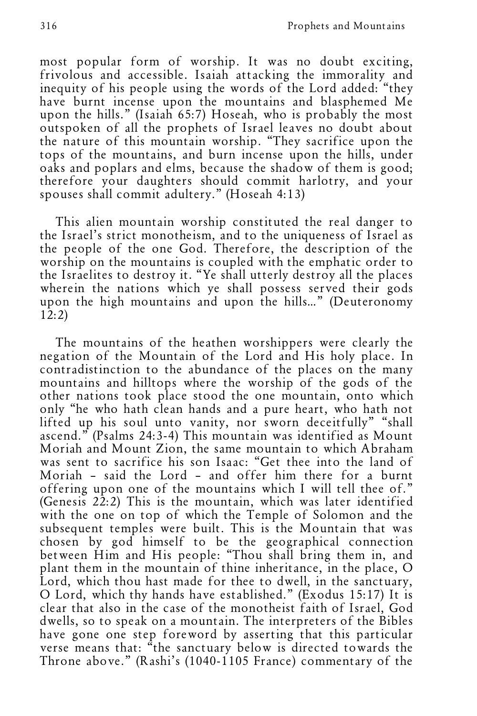most popular form of worship. It was no doubt exciting, frivolous and accessible. Isaiah attacking the immorality and inequity of his people using the words of the Lord added: "they have burnt incense upon the mountains and blasphemed Me upon the hills." (Isaiah 65:7) Hoseah, who is probably the most outspoken of all the prophets of Israel leaves no doubt about the nature of this mountain worship. "They sacrifice upon the tops of the mountains, and burn incense upon the hills, under oaks and poplars and elms, because the shadow of them is good; therefore your daughters should commit harlotry, and your spouses shall commit adultery." (Hoseah 4:13)

This alien mountain worship constituted the real danger to the Israel's strict monotheism, and to the uniqueness of Israel as the people of the one God. Therefore, the description of the worship on the mountains is coupled with the emphatic order to the Israelites to destroy it. "Ye shall utterly destroy all the places wherein the nations which ye shall possess served their gods upon the high mountains and upon the hills…" (Deuteronomy 12:2)

The mountains of the heathen worshippers were clearly the negation of the Mountain of the Lord and His holy place. In contradistinction to the abundance of the places on the many mountains and hilltops where the worship of the gods of the other nations took place stood the one mountain, onto which only "he who hath clean hands and a pure heart, who hath not lifted up his soul unto vanity, nor sworn deceitfully" "shall ascend." (Psalms 24:3-4) This mountain was identified as Mount Moriah and Mount Zion, the same mountain to which Abraham was sent to sacrifice his son Isaac: "Get thee into the land of Moriah – said the Lord – and offer him there for a burnt offering upon one of the mountains which I will tell thee of." (Genesis 22:2) This is the mountain, which was later identified with the one on top of which the Temple of Solomon and the subsequent temples were built. This is the Mountain that was chosen by god himself to be the geographical connection between Him and His people: "Thou shall bring them in, and plant them in the mountain of thine inheritance, in the place, O Lord, which thou hast made for thee to dwell, in the sanctuary, <sup>O</sup> Lord, which thy hands have established." (Exodus 15:17) It is clear that also in the case of the monotheist faith of Israel, God dwells, so to speak on a mountain. The interpreters of the Bibles have gone one step foreword by asserting that this particular verse means that: "the sanctuary below is directed towards the Throne above." (Rashi's (1040-1105 France) commentary of the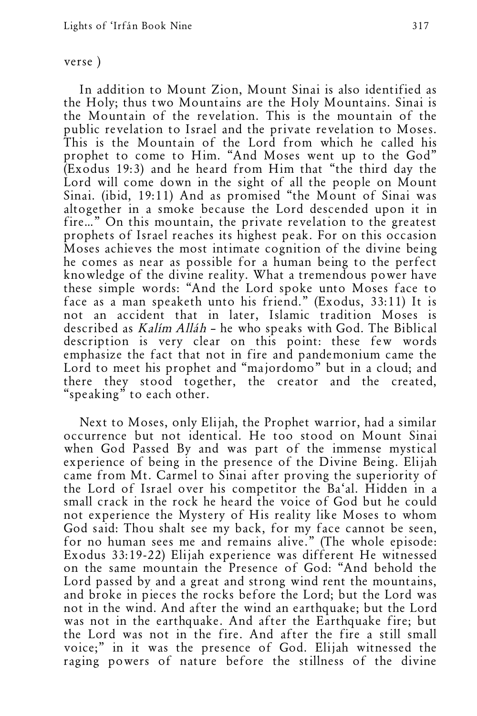## verse )

In addition to Mount Zion, Mount Sinai is also identified as the Holy; thus two Mountains are the Holy Mountains. Sinai is the Mountain of the revelation. This is the mountain of the public revelation to Israel and the private revelation to Moses. This is the Mountain of the Lord from which he called his prophet to come to Him. "And Moses went up to the God" (Exodus 19:3) and he heard from Him that "the third day the Lord will come down in the sight of all the people on Mount Sinai. (ibid, 19:11) And as promised "the Mount of Sinai was altogether in a smoke because the Lord descended upon it in fire…" On this mountain, the private revelation to the greatest prophets of Israel reaches its highest peak. For on this occasion Moses achieves the most intimate cognition of the divine being he comes as near as possible for a human being to the perfect knowledge of the divine reality. What a tremendous power have these simple words: "And the Lord spoke unto Moses face to face as a man speaketh unto his friend." (Exodus, 33:11) It is not an accident that in later, Islamic tradition Moses is described as Kalím Alláh – he who speaks with God. The Biblical description is very clear on this point: these few words emphasize the fact that not in fire and pandemonium came the Lord to meet his prophet and "majordomo" but in a cloud; and there they stood together, the creator and the created, "speaking" to each other.

Next to Moses, only Elijah, the Prophet warrior, had a similar occurrence but not identical. He too stood on Mount Sinai when God Passed By and was part of the immense mystical experience of being in the presence of the Divine Being. Elijah came from Mt. Carmel to Sinai after proving the superiority of the Lord of Israel over his competitor the Ba'al. Hidden in a small crack in the rock he heard the voice of God but he could not experience the Mystery of His reality like Moses to whom<br>God said: Thou shalt see my back, for my face cannot be seen, for no human sees me and remains alive." (The whole episode: Exodus 33:19-22) Elijah experience was different He witnessed on the same mountain the Presence of God: "And behold the Lord passed by and <sup>a</sup> great and strong wind rent the mountains, and broke in pieces the rocks before the Lord; but the Lord was not in the wind. And after the wind an earthquake; but the Lord was not in the earthquake. And after the Earthquake fire; but the Lord was not in the fire. And after the fire a still small voice;" in it was the presence of God. Elijah witnessed the raging powers of nature before the stillness of the divine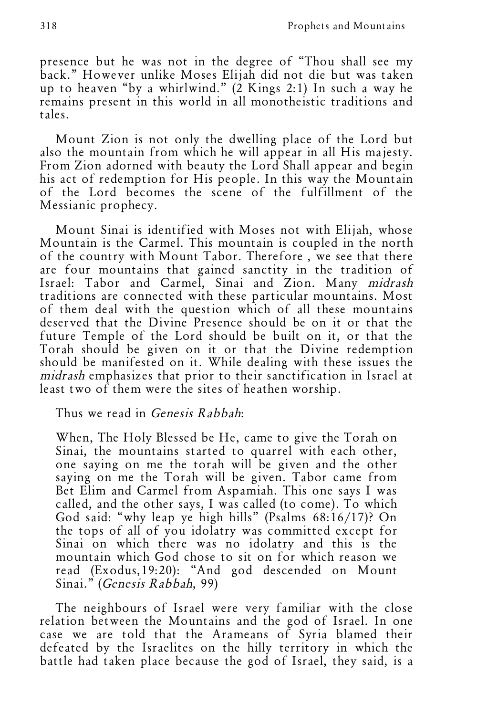presence but he was not in the degree of "Thou shall see my back." However unlike Moses Elijah did not die but was taken up to heaven "by a whirlwind."  $(2$  Kings 2:1) In such a way he remains present in this world in all monotheistic traditions and tales.

Mount Zion is not only the dwelling place of the Lord but also the mountain from which he will appear in all His majesty. From Zion adorned with beauty the Lord Shall appear and begin his act of redemption for His people. In this way the Mountain of the Lord becomes the scene of the fulfillment of the Messianic prophecy.

Mount Sinai is identified with Moses not with Elijah, whose Mountain is the Carmel. This mountain is coupled in the north of the country with Mount Tabor. Therefore , we see that there are four mountains that gained sanctity in the tradition of Israel: Tabor and Carmel, Sinai and Zion. Many midrash traditions are connected with these particular mountains. Most of them deal with the question which of all these mountains deserved that the Divine Presence should be on it or that the future Temple of the Lord should be built on it, or that the Torah should be given on it or that the Divine redemption should be manifested on it. While dealing with these issues the midrash emphasizes that prior to their sanctification in Israel at least two of them were the sites of heathen worship.

Thus we read in Genesis Rabbah:

When, The Holy Blessed be He, came to give the Torah on Sinai, the mountains started to quarrel with each other, one saying on me the torah will be given and the other saying on me the Torah will be given. Tabor came from Bet Elim and Carmel from Aspamiah. This one says I was called, and the other says, I was called (to come). To which God said: "why leap ye high hills" (Psalms 68:16/17)? On the tops of all of you idolatry was committed except for Sinai on which there was no idolatry and this is the mountain which God chose to sit on for which reason we read (Exodus,19:20): "And god descended on Mount Sinai." (Genesis Rabbah, 99)

The neighbours of Israel were very familiar with the close relation between the Mountains and the god of Israel. In one case we are told that the Arameans of Syria blamed their defeated by the Israelites on the hilly territory in which the battle had taken place because the god of Israel, they said, is a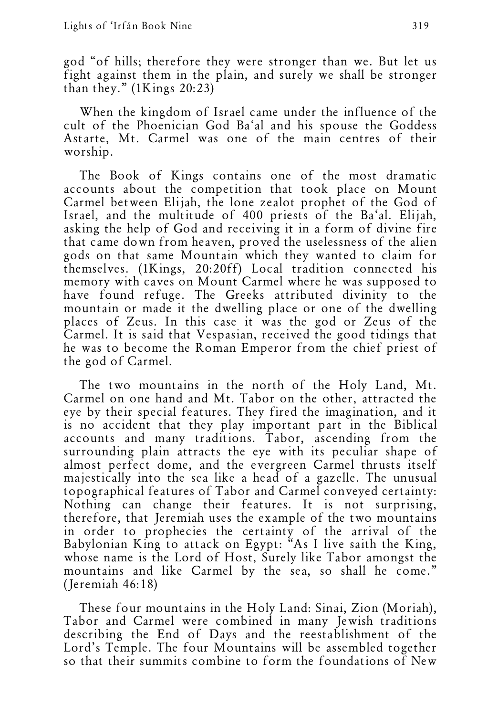god "of hills; therefore they were stronger than we. But let us fight against them in the plain, and surely we shall be stronger than they." (1Kings 20:23)

When the kingdom of Israel came under the influence of the cult of the Phoenician God Ba'al and his spouse the Goddess Astarte, Mt. Carmel was one of the main centres of their worship.

The Book of Kings contains one of the most dramatic accounts about the competition that took place on Mount Carmel between Elijah, the lone zealot prophet of the God of Israel, and the multitude of 400 priests of the Ba'al. Elijah, asking the help of God and receiving it in a form of divine fire that came down from heaven, proved the uselessness of the alien gods on that same Mountain which they wanted to claim for themselves. (1Kings, 20:20ff) Local tradition connected his memory with caves on Mount Carmel where he was supposed to have found refuge. The Greeks attributed divinity to the mountain or made it the dwelling place or one of the dwelling places of Zeus. In this case it was the god or Zeus of the Carmel. It is said that Vespasian, received the good tidings that he was to become the Roman Emperor from the chief priest of the god of Carmel.

The two mountains in the north of the Holy Land, Mt. Carmel on one hand and Mt. Tabor on the other, attracted the eye by their special features. They fired the imagination, and it is no accident that they play important part in the Biblical accounts and many traditions. Tabor, ascending from the surrounding plain attracts the eye with its peculiar shape of almost perfect dome, and the evergreen Carmel thrusts itself majestically into the sea like a head of a gazelle. The unusual topographical features of Tabor and Carmel conveyed certainty: Nothing can change their features. It is not surprising, therefore, that Jeremiah uses the example of the two mountains in order to prophecies the certainty of the arrival of the Babylonian King to attack on Egypt: "As I live saith the King, whose name is the Lord of Host, Surely like Tabor amongst the mountains and like Carmel by the sea, so shall he come." (Jeremiah 46:18)

These four mountains in the Holy Land: Sinai, Zion (Moriah), Tabor and Carmel were combined in many Jewish traditions describing the End of Days and the reestablishment of the Lord's Temple. The four Mountains will be assembled together so that their summits combine to form the foundations of New